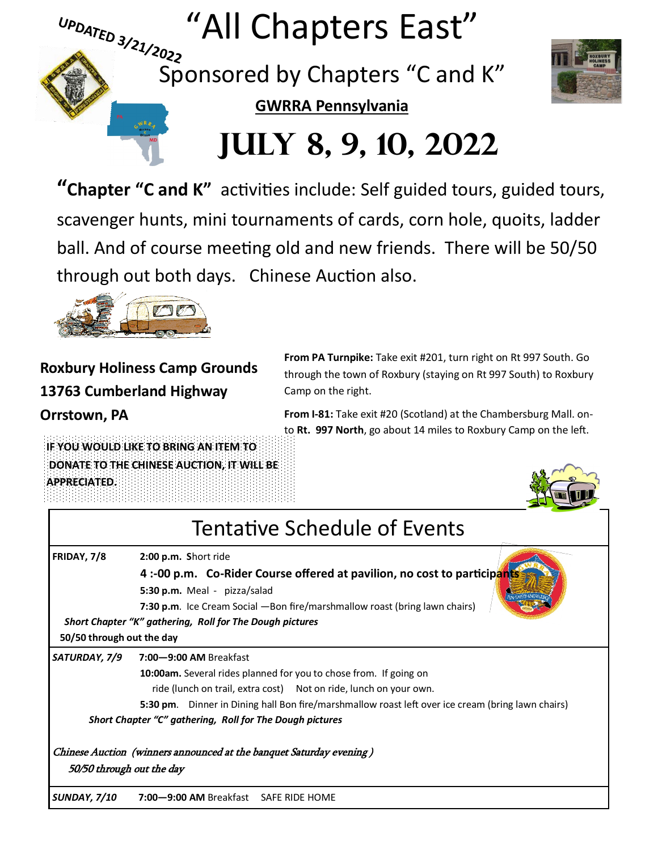

**"Chapter "C and K"** activities include: Self guided tours, guided tours, scavenger hunts, mini tournaments of cards, corn hole, quoits, ladder ball. And of course meeting old and new friends. There will be 50/50 through out both days. Chinese Auction also.



**Roxbury Holiness Camp Grounds 13763 Cumberland Highway**

**Orrstown, PA**

**From PA Turnpike:** Take exit #201, turn right on Rt 997 South. Go through the town of Roxbury (staying on Rt 997 South) to Roxbury Camp on the right.

**From I-81:** Take exit #20 (Scotland) at the Chambersburg Mall. onto **Rt. 997 North**, go about 14 miles to Roxbury Camp on the left.

**IF YOU WOULD LIKE TO BRING AN ITEM TO DONATE TO THE CHINESE AUCTION, IT WILL BE APPRECIATED.**

Tentative Schedule of Events **FRIDAY, 7/8 2:00 p.m. S**hort ride **4 :-00 p.m. Co-Rider Course offered at pavilion, no cost to participan 5:30 p.m.** Meal - pizza/salad **7:30 p.m**. Ice Cream Social —Bon fire/marshmallow roast (bring lawn chairs) *Short Chapter "K" gathering, Roll for The Dough pictures* **50/50 through out the day** *SATURDAY, 7/9* **7:00—9:00 AM** Breakfast **10:00am.** Several rides planned for you to chose from. If going on ride (lunch on trail, extra cost) Not on ride, lunch on your own. **5:30 pm**. Dinner in Dining hall Bon fire/marshmallow roast left over ice cream (bring lawn chairs) *Short Chapter "C" gathering, Roll for The Dough pictures*

Chinese Auction (winners announced at the banquet Saturday evening ) 50/50 through out the day

*SUNDAY, 7/10* **7:00—9:00 AM** Breakfast SAFE RIDE HOME